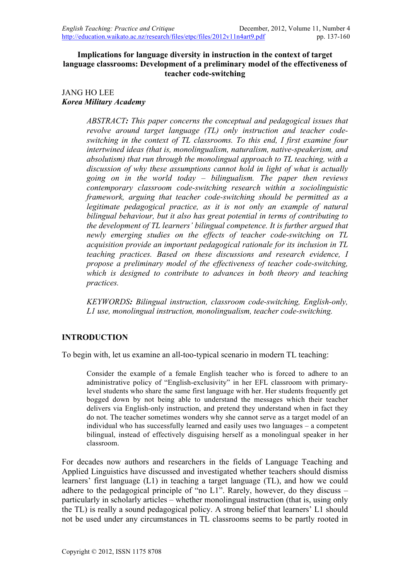## **Implications for language diversity in instruction in the context of target language classrooms: Development of a preliminary model of the effectiveness of teacher code-switching**

## JANG HO LEE *Korea Military Academy*

*ABSTRACT: This paper concerns the conceptual and pedagogical issues that revolve around target language (TL) only instruction and teacher codeswitching in the context of TL classrooms. To this end, I first examine four intertwined ideas (that is, monolingualism, naturalism, native-speakerism, and absolutism) that run through the monolingual approach to TL teaching, with a discussion of why these assumptions cannot hold in light of what is actually going on in the world today – bilingualism. The paper then reviews contemporary classroom code-switching research within a sociolinguistic framework, arguing that teacher code-switching should be permitted as a*  legitimate pedagogical practice, as it is not only an example of natural *bilingual behaviour, but it also has great potential in terms of contributing to the development of TL learners' bilingual competence. It is further argued that newly emerging studies on the effects of teacher code-switching on TL acquisition provide an important pedagogical rationale for its inclusion in TL teaching practices. Based on these discussions and research evidence, I propose a preliminary model of the effectiveness of teacher code-switching, which is designed to contribute to advances in both theory and teaching practices.* 

*KEYWORDS: Bilingual instruction, classroom code-switching, English-only, L1 use, monolingual instruction, monolingualism, teacher code-switching.*

## **INTRODUCTION**

To begin with, let us examine an all-too-typical scenario in modern TL teaching:

Consider the example of a female English teacher who is forced to adhere to an administrative policy of "English-exclusivity" in her EFL classroom with primarylevel students who share the same first language with her. Her students frequently get bogged down by not being able to understand the messages which their teacher delivers via English-only instruction, and pretend they understand when in fact they do not. The teacher sometimes wonders why she cannot serve as a target model of an individual who has successfully learned and easily uses two languages – a competent bilingual, instead of effectively disguising herself as a monolingual speaker in her classroom.

For decades now authors and researchers in the fields of Language Teaching and Applied Linguistics have discussed and investigated whether teachers should dismiss learners' first language (L1) in teaching a target language (TL), and how we could adhere to the pedagogical principle of "no L1". Rarely, however, do they discuss – particularly in scholarly articles – whether monolingual instruction (that is, using only the TL) is really a sound pedagogical policy. A strong belief that learners' L1 should not be used under any circumstances in TL classrooms seems to be partly rooted in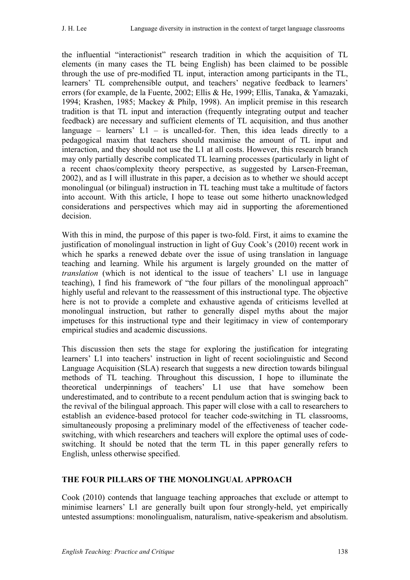the influential "interactionist" research tradition in which the acquisition of TL elements (in many cases the TL being English) has been claimed to be possible through the use of pre-modified TL input, interaction among participants in the TL, learners' TL comprehensible output, and teachers' negative feedback to learners' errors (for example, de la Fuente, 2002; Ellis & He, 1999; Ellis, Tanaka, & Yamazaki, 1994; Krashen, 1985; Mackey & Philp, 1998). An implicit premise in this research tradition is that TL input and interaction (frequently integrating output and teacher feedback) are necessary and sufficient elements of TL acquisition, and thus another language – learners'  $L1$  – is uncalled-for. Then, this idea leads directly to a pedagogical maxim that teachers should maximise the amount of TL input and interaction, and they should not use the L1 at all costs. However, this research branch may only partially describe complicated TL learning processes (particularly in light of a recent chaos/complexity theory perspective, as suggested by Larsen-Freeman, 2002), and as I will illustrate in this paper, a decision as to whether we should accept monolingual (or bilingual) instruction in TL teaching must take a multitude of factors into account. With this article, I hope to tease out some hitherto unacknowledged considerations and perspectives which may aid in supporting the aforementioned decision.

With this in mind, the purpose of this paper is two-fold. First, it aims to examine the justification of monolingual instruction in light of Guy Cook's (2010) recent work in which he sparks a renewed debate over the issue of using translation in language teaching and learning. While his argument is largely grounded on the matter of *translation* (which is not identical to the issue of teachers' L1 use in language teaching), I find his framework of "the four pillars of the monolingual approach" highly useful and relevant to the reassessment of this instructional type. The objective here is not to provide a complete and exhaustive agenda of criticisms levelled at monolingual instruction, but rather to generally dispel myths about the major impetuses for this instructional type and their legitimacy in view of contemporary empirical studies and academic discussions.

This discussion then sets the stage for exploring the justification for integrating learners' L1 into teachers' instruction in light of recent sociolinguistic and Second Language Acquisition (SLA) research that suggests a new direction towards bilingual methods of TL teaching. Throughout this discussion, I hope to illuminate the theoretical underpinnings of teachers' L1 use that have somehow been underestimated, and to contribute to a recent pendulum action that is swinging back to the revival of the bilingual approach. This paper will close with a call to researchers to establish an evidence-based protocol for teacher code-switching in TL classrooms, simultaneously proposing a preliminary model of the effectiveness of teacher codeswitching, with which researchers and teachers will explore the optimal uses of codeswitching. It should be noted that the term TL in this paper generally refers to English, unless otherwise specified.

## **THE FOUR PILLARS OF THE MONOLINGUAL APPROACH**

Cook (2010) contends that language teaching approaches that exclude or attempt to minimise learners' L1 are generally built upon four strongly-held, yet empirically untested assumptions: monolingualism, naturalism, native-speakerism and absolutism.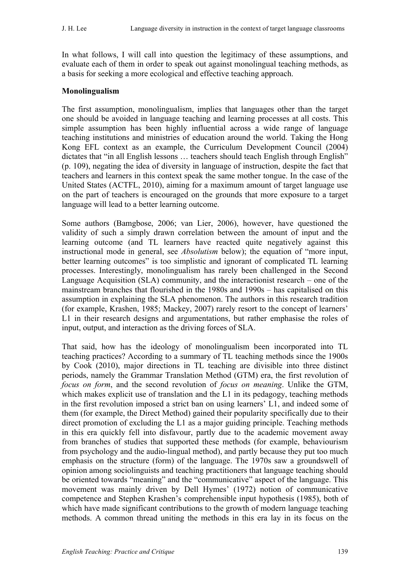In what follows, I will call into question the legitimacy of these assumptions, and evaluate each of them in order to speak out against monolingual teaching methods, as a basis for seeking a more ecological and effective teaching approach.

## **Monolingualism**

The first assumption, monolingualism, implies that languages other than the target one should be avoided in language teaching and learning processes at all costs. This simple assumption has been highly influential across a wide range of language teaching institutions and ministries of education around the world. Taking the Hong Kong EFL context as an example, the Curriculum Development Council (2004) dictates that "in all English lessons ... teachers should teach English through English" (p. 109), negating the idea of diversity in language of instruction, despite the fact that teachers and learners in this context speak the same mother tongue. In the case of the United States (ACTFL, 2010), aiming for a maximum amount of target language use on the part of teachers is encouraged on the grounds that more exposure to a target language will lead to a better learning outcome.

Some authors (Bamgbose, 2006; van Lier, 2006), however, have questioned the validity of such a simply drawn correlation between the amount of input and the learning outcome (and TL learners have reacted quite negatively against this instructional mode in general, see *Absolutism* below); the equation of "more input, better learning outcomes" is too simplistic and ignorant of complicated TL learning processes. Interestingly, monolingualism has rarely been challenged in the Second Language Acquisition (SLA) community, and the interactionist research – one of the mainstream branches that flourished in the 1980s and 1990s – has capitalised on this assumption in explaining the SLA phenomenon. The authors in this research tradition (for example, Krashen, 1985; Mackey, 2007) rarely resort to the concept of learners' L1 in their research designs and argumentations, but rather emphasise the roles of input, output, and interaction as the driving forces of SLA.

That said, how has the ideology of monolingualism been incorporated into TL teaching practices? According to a summary of TL teaching methods since the 1900s by Cook (2010), major directions in TL teaching are divisible into three distinct periods, namely the Grammar Translation Method (GTM) era, the first revolution of *focus on form*, and the second revolution of *focus on meaning*. Unlike the GTM, which makes explicit use of translation and the L1 in its pedagogy, teaching methods in the first revolution imposed a strict ban on using learners' L1, and indeed some of them (for example, the Direct Method) gained their popularity specifically due to their direct promotion of excluding the L1 as a major guiding principle. Teaching methods in this era quickly fell into disfavour, partly due to the academic movement away from branches of studies that supported these methods (for example, behaviourism from psychology and the audio-lingual method), and partly because they put too much emphasis on the structure (form) of the language. The 1970s saw a groundswell of opinion among sociolinguists and teaching practitioners that language teaching should be oriented towards "meaning" and the "communicative" aspect of the language. This movement was mainly driven by Dell Hymes' (1972) notion of communicative competence and Stephen Krashen's comprehensible input hypothesis (1985), both of which have made significant contributions to the growth of modern language teaching methods. A common thread uniting the methods in this era lay in its focus on the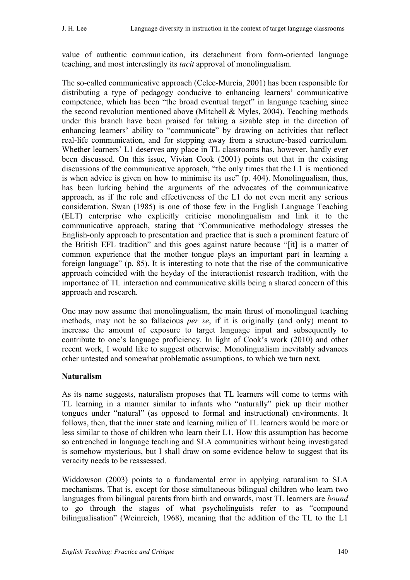value of authentic communication, its detachment from form-oriented language teaching, and most interestingly its *tacit* approval of monolingualism.

The so-called communicative approach (Celce-Murcia, 2001) has been responsible for distributing a type of pedagogy conducive to enhancing learners' communicative competence, which has been "the broad eventual target" in language teaching since the second revolution mentioned above (Mitchell  $&$  Myles, 2004). Teaching methods under this branch have been praised for taking a sizable step in the direction of enhancing learners' ability to "communicate" by drawing on activities that reflect real-life communication, and for stepping away from a structure-based curriculum. Whether learners' L1 deserves any place in TL classrooms has, however, hardly ever been discussed. On this issue, Vivian Cook (2001) points out that in the existing discussions of the communicative approach, "the only times that the L1 is mentioned is when advice is given on how to minimise its use" (p. 404). Monolingualism, thus, has been lurking behind the arguments of the advocates of the communicative approach, as if the role and effectiveness of the L1 do not even merit any serious consideration. Swan (1985) is one of those few in the English Language Teaching (ELT) enterprise who explicitly criticise monolingualism and link it to the communicative approach, stating that "Communicative methodology stresses the English-only approach to presentation and practice that is such a prominent feature of the British EFL tradition" and this goes against nature because "[it] is a matter of common experience that the mother tongue plays an important part in learning a foreign language" (p. 85). It is interesting to note that the rise of the communicative approach coincided with the heyday of the interactionist research tradition, with the importance of TL interaction and communicative skills being a shared concern of this approach and research.

One may now assume that monolingualism, the main thrust of monolingual teaching methods, may not be so fallacious *per se*, if it is originally (and only) meant to increase the amount of exposure to target language input and subsequently to contribute to one's language proficiency. In light of Cook's work (2010) and other recent work, I would like to suggest otherwise. Monolingualism inevitably advances other untested and somewhat problematic assumptions, to which we turn next.

## **Naturalism**

As its name suggests, naturalism proposes that TL learners will come to terms with TL learning in a manner similar to infants who "naturally" pick up their mother tongues under "natural" (as opposed to formal and instructional) environments. It follows, then, that the inner state and learning milieu of TL learners would be more or less similar to those of children who learn their L1. How this assumption has become so entrenched in language teaching and SLA communities without being investigated is somehow mysterious, but I shall draw on some evidence below to suggest that its veracity needs to be reassessed.

Widdowson (2003) points to a fundamental error in applying naturalism to SLA mechanisms. That is, except for those simultaneous bilingual children who learn two languages from bilingual parents from birth and onwards, most TL learners are *bound* to go through the stages of what psycholinguists refer to as "compound bilingualisation" (Weinreich, 1968), meaning that the addition of the TL to the L1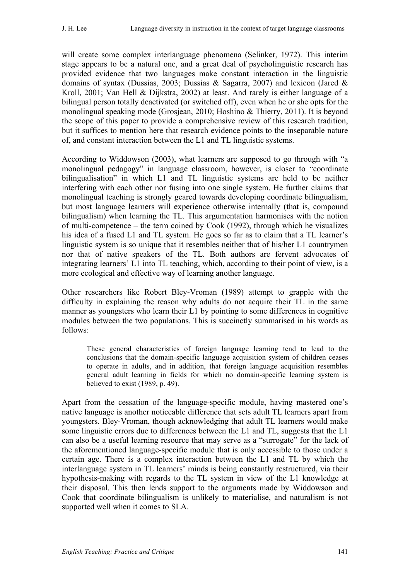will create some complex interlanguage phenomena (Selinker, 1972). This interim stage appears to be a natural one, and a great deal of psycholinguistic research has provided evidence that two languages make constant interaction in the linguistic domains of syntax (Dussias, 2003; Dussias & Sagarra, 2007) and lexicon (Jared & Kroll, 2001; Van Hell & Dijkstra, 2002) at least. And rarely is either language of a bilingual person totally deactivated (or switched off), even when he or she opts for the monolingual speaking mode (Grosjean, 2010; Hoshino & Thierry, 2011). It is beyond the scope of this paper to provide a comprehensive review of this research tradition, but it suffices to mention here that research evidence points to the inseparable nature of, and constant interaction between the L1 and TL linguistic systems.

According to Widdowson (2003), what learners are supposed to go through with "a monolingual pedagogy" in language classroom, however, is closer to "coordinate bilingualisation" in which L1 and TL linguistic systems are held to be neither interfering with each other nor fusing into one single system. He further claims that monolingual teaching is strongly geared towards developing coordinate bilingualism, but most language learners will experience otherwise internally (that is, compound bilingualism) when learning the TL. This argumentation harmonises with the notion of multi-competence – the term coined by Cook (1992), through which he visualizes his idea of a fused L1 and TL system. He goes so far as to claim that a TL learner's linguistic system is so unique that it resembles neither that of his/her L1 countrymen nor that of native speakers of the TL. Both authors are fervent advocates of integrating learners' L1 into TL teaching, which, according to their point of view, is a more ecological and effective way of learning another language.

Other researchers like Robert Bley-Vroman (1989) attempt to grapple with the difficulty in explaining the reason why adults do not acquire their TL in the same manner as youngsters who learn their L1 by pointing to some differences in cognitive modules between the two populations. This is succinctly summarised in his words as follows:

These general characteristics of foreign language learning tend to lead to the conclusions that the domain-specific language acquisition system of children ceases to operate in adults, and in addition, that foreign language acquisition resembles general adult learning in fields for which no domain-specific learning system is believed to exist (1989, p. 49).

Apart from the cessation of the language-specific module, having mastered one's native language is another noticeable difference that sets adult TL learners apart from youngsters. Bley-Vroman, though acknowledging that adult TL learners would make some linguistic errors due to differences between the L1 and TL, suggests that the L1 can also be a useful learning resource that may serve as a "surrogate" for the lack of the aforementioned language-specific module that is only accessible to those under a certain age. There is a complex interaction between the L1 and TL by which the interlanguage system in TL learners' minds is being constantly restructured, via their hypothesis-making with regards to the TL system in view of the L1 knowledge at their disposal. This then lends support to the arguments made by Widdowson and Cook that coordinate bilingualism is unlikely to materialise, and naturalism is not supported well when it comes to SLA.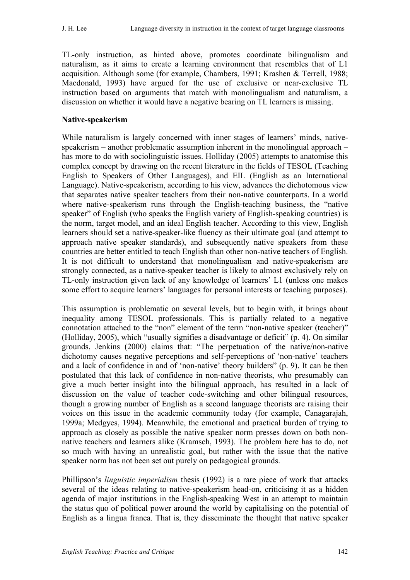TL-only instruction, as hinted above, promotes coordinate bilingualism and naturalism, as it aims to create a learning environment that resembles that of L1 acquisition. Although some (for example, Chambers, 1991; Krashen & Terrell, 1988; Macdonald, 1993) have argued for the use of exclusive or near-exclusive TL instruction based on arguments that match with monolingualism and naturalism, a discussion on whether it would have a negative bearing on TL learners is missing.

## **Native-speakerism**

While naturalism is largely concerned with inner stages of learners' minds, nativespeakerism – another problematic assumption inherent in the monolingual approach – has more to do with sociolinguistic issues. Holliday (2005) attempts to anatomise this complex concept by drawing on the recent literature in the fields of TESOL (Teaching English to Speakers of Other Languages), and EIL (English as an International Language). Native-speakerism, according to his view, advances the dichotomous view that separates native speaker teachers from their non-native counterparts. In a world where native-speakerism runs through the English-teaching business, the "native speaker" of English (who speaks the English variety of English-speaking countries) is the norm, target model, and an ideal English teacher. According to this view, English learners should set a native-speaker-like fluency as their ultimate goal (and attempt to approach native speaker standards), and subsequently native speakers from these countries are better entitled to teach English than other non-native teachers of English. It is not difficult to understand that monolingualism and native-speakerism are strongly connected, as a native-speaker teacher is likely to almost exclusively rely on TL-only instruction given lack of any knowledge of learners' L1 (unless one makes some effort to acquire learners' languages for personal interests or teaching purposes).

This assumption is problematic on several levels, but to begin with, it brings about inequality among TESOL professionals. This is partially related to a negative connotation attached to the "non" element of the term "non-native speaker (teacher)" (Holliday, 2005), which "usually signifies a disadvantage or deficit" (p. 4). On similar grounds, Jenkins (2000) claims that: "The perpetuation of the native/non-native dichotomy causes negative perceptions and self-perceptions of 'non-native' teachers and a lack of confidence in and of 'non-native' theory builders" (p. 9). It can be then postulated that this lack of confidence in non-native theorists, who presumably can give a much better insight into the bilingual approach, has resulted in a lack of discussion on the value of teacher code-switching and other bilingual resources, though a growing number of English as a second language theorists are raising their voices on this issue in the academic community today (for example, Canagarajah, 1999a; Medgyes, 1994). Meanwhile, the emotional and practical burden of trying to approach as closely as possible the native speaker norm presses down on both nonnative teachers and learners alike (Kramsch, 1993). The problem here has to do, not so much with having an unrealistic goal, but rather with the issue that the native speaker norm has not been set out purely on pedagogical grounds.

Phillipson's *linguistic imperialism* thesis (1992) is a rare piece of work that attacks several of the ideas relating to native-speakerism head-on, criticising it as a hidden agenda of major institutions in the English-speaking West in an attempt to maintain the status quo of political power around the world by capitalising on the potential of English as a lingua franca. That is, they disseminate the thought that native speaker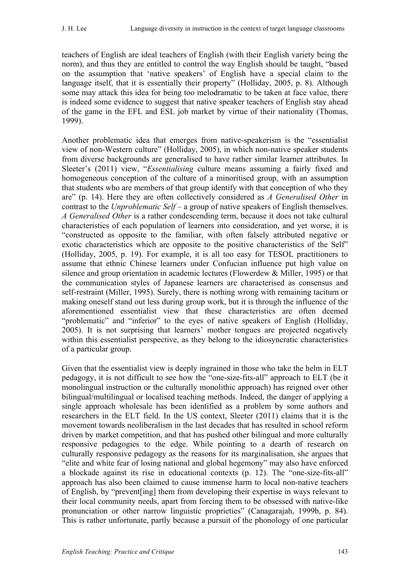teachers of English are ideal teachers of English (with their English variety being the norm), and thus they are entitled to control the way English should be taught, "based on the assumption that 'native speakers' of English have a special claim to the language itself, that it is essentially their property" (Holliday, 2005, p. 8). Although some may attack this idea for being too melodramatic to be taken at face value, there is indeed some evidence to suggest that native speaker teachers of English stay ahead of the game in the EFL and ESL job market by virtue of their nationality (Thomas, 1999).

Another problematic idea that emerges from native-speakerism is the "essentialist view of non-Western culture" (Holliday, 2005), in which non-native speaker students from diverse backgrounds are generalised to have rather similar learner attributes. In Sleeter's (2011) view, "*Essentialising* culture means assuming a fairly fixed and homogeneous conception of the culture of a minoritised group, with an assumption that students who are members of that group identify with that conception of who they are" (p. 14). Here they are often collectively considered as *A Generalised Other* in contrast to the *Unproblematic Self* – a group of native speakers of English themselves. *A Generalised Other* is a rather condescending term, because it does not take cultural characteristics of each population of learners into consideration, and yet worse, it is "constructed as opposite to the familiar, with often falsely attributed negative or exotic characteristics which are opposite to the positive characteristics of the Self" (Holliday, 2005, p. 19). For example, it is all too easy for TESOL practitioners to assume that ethnic Chinese learners under Confucian influence put high value on silence and group orientation in academic lectures (Flowerdew & Miller, 1995) or that the communication styles of Japanese learners are characterised as consensus and self-restraint (Miller, 1995). Surely, there is nothing wrong with remaining taciturn or making oneself stand out less during group work, but it is through the influence of the aforementioned essentialist view that these characteristics are often deemed "problematic" and "inferior" to the eyes of native speakers of English (Holliday, 2005). It is not surprising that learners' mother tongues are projected negatively within this essentialist perspective, as they belong to the idiosyncratic characteristics of a particular group.

Given that the essentialist view is deeply ingrained in those who take the helm in ELT pedagogy, it is not difficult to see how the "one-size-fits-all" approach to ELT (be it monolingual instruction or the culturally monolithic approach) has reigned over other bilingual/multilingual or localised teaching methods. Indeed, the danger of applying a single approach wholesale has been identified as a problem by some authors and researchers in the ELT field. In the US context, Sleeter (2011) claims that it is the movement towards neoliberalism in the last decades that has resulted in school reform driven by market competition, and that has pushed other bilingual and more culturally responsive pedagogies to the edge. While pointing to a dearth of research on culturally responsive pedagogy as the reasons for its marginalisation, she argues that "elite and white fear of losing national and global hegemony" may also have enforced a blockade against its rise in educational contexts (p. 12). The "one-size-fits-all" approach has also been claimed to cause immense harm to local non-native teachers of English, by "prevent[ing] them from developing their expertise in ways relevant to their local community needs, apart from forcing them to be obsessed with native-like pronunciation or other narrow linguistic proprieties" (Canagarajah, 1999b, p. 84). This is rather unfortunate, partly because a pursuit of the phonology of one particular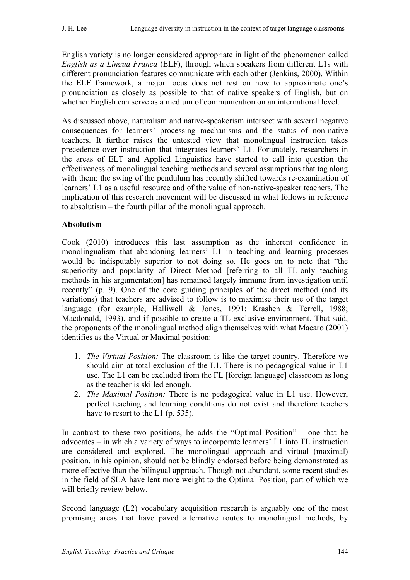English variety is no longer considered appropriate in light of the phenomenon called *English as a Lingua Franca* (ELF), through which speakers from different L1s with different pronunciation features communicate with each other (Jenkins, 2000). Within the ELF framework, a major focus does not rest on how to approximate one's pronunciation as closely as possible to that of native speakers of English, but on whether English can serve as a medium of communication on an international level.

As discussed above, naturalism and native-speakerism intersect with several negative consequences for learners' processing mechanisms and the status of non-native teachers. It further raises the untested view that monolingual instruction takes precedence over instruction that integrates learners' L1. Fortunately, researchers in the areas of ELT and Applied Linguistics have started to call into question the effectiveness of monolingual teaching methods and several assumptions that tag along with them: the swing of the pendulum has recently shifted towards re-examination of learners' L1 as a useful resource and of the value of non-native-speaker teachers. The implication of this research movement will be discussed in what follows in reference to absolutism – the fourth pillar of the monolingual approach.

## **Absolutism**

Cook (2010) introduces this last assumption as the inherent confidence in monolingualism that abandoning learners' L1 in teaching and learning processes would be indisputably superior to not doing so. He goes on to note that "the superiority and popularity of Direct Method [referring to all TL-only teaching methods in his argumentation] has remained largely immune from investigation until recently" (p. 9). One of the core guiding principles of the direct method (and its variations) that teachers are advised to follow is to maximise their use of the target language (for example, Halliwell & Jones, 1991; Krashen & Terrell, 1988; Macdonald, 1993), and if possible to create a TL-exclusive environment. That said, the proponents of the monolingual method align themselves with what Macaro (2001) identifies as the Virtual or Maximal position:

- 1. *The Virtual Position:* The classroom is like the target country. Therefore we should aim at total exclusion of the L1. There is no pedagogical value in L1 use. The L1 can be excluded from the FL [foreign language] classroom as long as the teacher is skilled enough.
- 2. *The Maximal Position:* There is no pedagogical value in L1 use. However, perfect teaching and learning conditions do not exist and therefore teachers have to resort to the L1 (p. 535).

In contrast to these two positions, he adds the "Optimal Position" – one that he advocates – in which a variety of ways to incorporate learners' L1 into TL instruction are considered and explored. The monolingual approach and virtual (maximal) position, in his opinion, should not be blindly endorsed before being demonstrated as more effective than the bilingual approach. Though not abundant, some recent studies in the field of SLA have lent more weight to the Optimal Position, part of which we will briefly review below.

Second language (L2) vocabulary acquisition research is arguably one of the most promising areas that have paved alternative routes to monolingual methods, by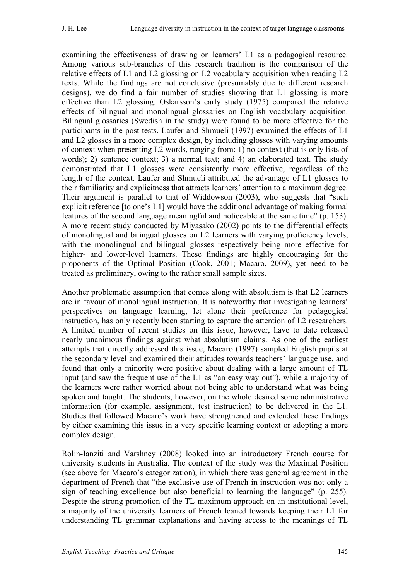examining the effectiveness of drawing on learners' L1 as a pedagogical resource. Among various sub-branches of this research tradition is the comparison of the relative effects of L1 and L2 glossing on L2 vocabulary acquisition when reading L2 texts. While the findings are not conclusive (presumably due to different research designs), we do find a fair number of studies showing that L1 glossing is more effective than L2 glossing. Oskarsson's early study (1975) compared the relative effects of bilingual and monolingual glossaries on English vocabulary acquisition. Bilingual glossaries (Swedish in the study) were found to be more effective for the participants in the post-tests. Laufer and Shmueli (1997) examined the effects of L1 and L2 glosses in a more complex design, by including glosses with varying amounts of context when presenting L2 words, ranging from: 1) no context (that is only lists of words); 2) sentence context; 3) a normal text; and 4) an elaborated text. The study demonstrated that L1 glosses were consistently more effective, regardless of the length of the context. Laufer and Shmueli attributed the advantage of L1 glosses to their familiarity and explicitness that attracts learners' attention to a maximum degree. Their argument is parallel to that of Widdowson (2003), who suggests that "such explicit reference [to one's L1] would have the additional advantage of making formal features of the second language meaningful and noticeable at the same time" (p. 153). A more recent study conducted by Miyasako (2002) points to the differential effects of monolingual and bilingual glosses on L2 learners with varying proficiency levels, with the monolingual and bilingual glosses respectively being more effective for higher- and lower-level learners. These findings are highly encouraging for the proponents of the Optimal Position (Cook, 2001; Macaro, 2009), yet need to be treated as preliminary, owing to the rather small sample sizes.

Another problematic assumption that comes along with absolutism is that L2 learners are in favour of monolingual instruction. It is noteworthy that investigating learners' perspectives on language learning, let alone their preference for pedagogical instruction, has only recently been starting to capture the attention of L2 researchers. A limited number of recent studies on this issue, however, have to date released nearly unanimous findings against what absolutism claims. As one of the earliest attempts that directly addressed this issue, Macaro (1997) sampled English pupils at the secondary level and examined their attitudes towards teachers' language use, and found that only a minority were positive about dealing with a large amount of TL input (and saw the frequent use of the L1 as "an easy way out"), while a majority of the learners were rather worried about not being able to understand what was being spoken and taught. The students, however, on the whole desired some administrative information (for example, assignment, test instruction) to be delivered in the L1. Studies that followed Macaro's work have strengthened and extended these findings by either examining this issue in a very specific learning context or adopting a more complex design.

Rolin-Ianziti and Varshney (2008) looked into an introductory French course for university students in Australia. The context of the study was the Maximal Position (see above for Macaro's categorization), in which there was general agreement in the department of French that "the exclusive use of French in instruction was not only a sign of teaching excellence but also beneficial to learning the language" (p. 255). Despite the strong promotion of the TL-maximum approach on an institutional level, a majority of the university learners of French leaned towards keeping their L1 for understanding TL grammar explanations and having access to the meanings of TL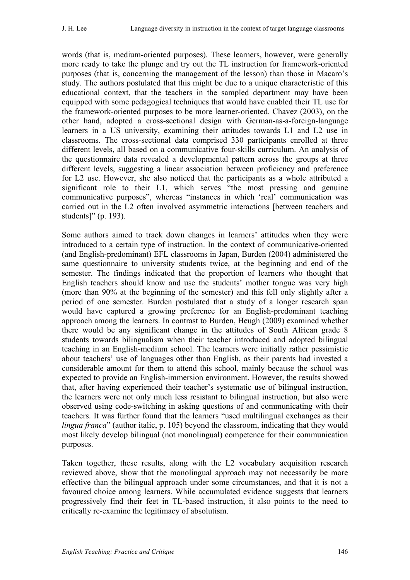words (that is, medium-oriented purposes). These learners, however, were generally more ready to take the plunge and try out the TL instruction for framework-oriented purposes (that is, concerning the management of the lesson) than those in Macaro's study. The authors postulated that this might be due to a unique characteristic of this educational context, that the teachers in the sampled department may have been equipped with some pedagogical techniques that would have enabled their TL use for the framework-oriented purposes to be more learner-oriented. Chavez (2003), on the other hand, adopted a cross-sectional design with German-as-a-foreign-language learners in a US university, examining their attitudes towards L1 and L2 use in classrooms. The cross-sectional data comprised 330 participants enrolled at three different levels, all based on a communicative four-skills curriculum. An analysis of the questionnaire data revealed a developmental pattern across the groups at three different levels, suggesting a linear association between proficiency and preference for L2 use. However, she also noticed that the participants as a whole attributed a significant role to their L1, which serves "the most pressing and genuine communicative purposes", whereas "instances in which 'real' communication was carried out in the L2 often involved asymmetric interactions [between teachers and students]" (p. 193).

Some authors aimed to track down changes in learners' attitudes when they were introduced to a certain type of instruction. In the context of communicative-oriented (and English-predominant) EFL classrooms in Japan, Burden (2004) administered the same questionnaire to university students twice, at the beginning and end of the semester. The findings indicated that the proportion of learners who thought that English teachers should know and use the students' mother tongue was very high (more than 90% at the beginning of the semester) and this fell only slightly after a period of one semester. Burden postulated that a study of a longer research span would have captured a growing preference for an English-predominant teaching approach among the learners. In contrast to Burden, Heugh (2009) examined whether there would be any significant change in the attitudes of South African grade 8 students towards bilingualism when their teacher introduced and adopted bilingual teaching in an English-medium school. The learners were initially rather pessimistic about teachers' use of languages other than English, as their parents had invested a considerable amount for them to attend this school, mainly because the school was expected to provide an English-immersion environment. However, the results showed that, after having experienced their teacher's systematic use of bilingual instruction, the learners were not only much less resistant to bilingual instruction, but also were observed using code-switching in asking questions of and communicating with their teachers. It was further found that the learners "used multilingual exchanges as their *lingua franca*" (author italic, p. 105) beyond the classroom, indicating that they would most likely develop bilingual (not monolingual) competence for their communication purposes.

Taken together, these results, along with the L2 vocabulary acquisition research reviewed above, show that the monolingual approach may not necessarily be more effective than the bilingual approach under some circumstances, and that it is not a favoured choice among learners. While accumulated evidence suggests that learners progressively find their feet in TL-based instruction, it also points to the need to critically re-examine the legitimacy of absolutism.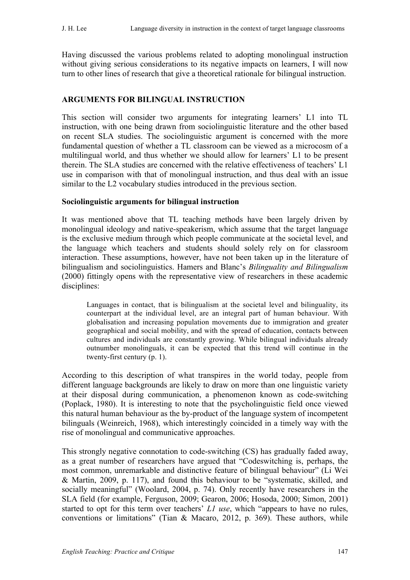Having discussed the various problems related to adopting monolingual instruction without giving serious considerations to its negative impacts on learners, I will now turn to other lines of research that give a theoretical rationale for bilingual instruction.

#### **ARGUMENTS FOR BILINGUAL INSTRUCTION**

This section will consider two arguments for integrating learners' L1 into TL instruction, with one being drawn from sociolinguistic literature and the other based on recent SLA studies. The sociolinguistic argument is concerned with the more fundamental question of whether a TL classroom can be viewed as a microcosm of a multilingual world, and thus whether we should allow for learners' L1 to be present therein. The SLA studies are concerned with the relative effectiveness of teachers' L1 use in comparison with that of monolingual instruction, and thus deal with an issue similar to the L2 vocabulary studies introduced in the previous section.

#### **Sociolinguistic arguments for bilingual instruction**

It was mentioned above that TL teaching methods have been largely driven by monolingual ideology and native-speakerism, which assume that the target language is the exclusive medium through which people communicate at the societal level, and the language which teachers and students should solely rely on for classroom interaction. These assumptions, however, have not been taken up in the literature of bilingualism and sociolinguistics. Hamers and Blanc's *Bilinguality and Bilingualism* (2000) fittingly opens with the representative view of researchers in these academic disciplines:

Languages in contact, that is bilingualism at the societal level and bilinguality, its counterpart at the individual level, are an integral part of human behaviour. With globalisation and increasing population movements due to immigration and greater geographical and social mobility, and with the spread of education, contacts between cultures and individuals are constantly growing. While bilingual individuals already outnumber monolinguals, it can be expected that this trend will continue in the twenty-first century (p. 1).

According to this description of what transpires in the world today, people from different language backgrounds are likely to draw on more than one linguistic variety at their disposal during communication, a phenomenon known as code-switching (Poplack, 1980). It is interesting to note that the psycholinguistic field once viewed this natural human behaviour as the by-product of the language system of incompetent bilinguals (Weinreich, 1968), which interestingly coincided in a timely way with the rise of monolingual and communicative approaches.

This strongly negative connotation to code-switching (CS) has gradually faded away, as a great number of researchers have argued that "Codeswitching is, perhaps, the most common, unremarkable and distinctive feature of bilingual behaviour" (Li Wei & Martin, 2009, p. 117), and found this behaviour to be "systematic, skilled, and socially meaningful" (Woolard, 2004, p. 74). Only recently have researchers in the SLA field (for example, Ferguson, 2009; Gearon, 2006; Hosoda, 2000; Simon, 2001) started to opt for this term over teachers' *L1 use*, which "appears to have no rules, conventions or limitations" (Tian & Macaro, 2012, p. 369). These authors, while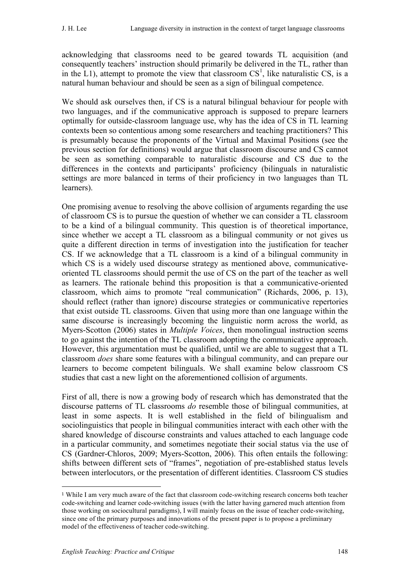acknowledging that classrooms need to be geared towards TL acquisition (and consequently teachers' instruction should primarily be delivered in the TL, rather than in the  $L1$ ), attempt to promote the view that classroom  $CS<sup>1</sup>$ , like naturalistic CS, is a natural human behaviour and should be seen as a sign of bilingual competence.

We should ask ourselves then, if CS is a natural bilingual behaviour for people with two languages, and if the communicative approach is supposed to prepare learners optimally for outside-classroom language use, why has the idea of CS in TL learning contexts been so contentious among some researchers and teaching practitioners? This is presumably because the proponents of the Virtual and Maximal Positions (see the previous section for definitions) would argue that classroom discourse and CS cannot be seen as something comparable to naturalistic discourse and CS due to the differences in the contexts and participants' proficiency (bilinguals in naturalistic settings are more balanced in terms of their proficiency in two languages than TL learners).

One promising avenue to resolving the above collision of arguments regarding the use of classroom CS is to pursue the question of whether we can consider a TL classroom to be a kind of a bilingual community. This question is of theoretical importance, since whether we accept a TL classroom as a bilingual community or not gives us quite a different direction in terms of investigation into the justification for teacher CS. If we acknowledge that a TL classroom is a kind of a bilingual community in which CS is a widely used discourse strategy as mentioned above, communicativeoriented TL classrooms should permit the use of CS on the part of the teacher as well as learners. The rationale behind this proposition is that a communicative-oriented classroom, which aims to promote "real communication" (Richards, 2006, p. 13), should reflect (rather than ignore) discourse strategies or communicative repertories that exist outside TL classrooms. Given that using more than one language within the same discourse is increasingly becoming the linguistic norm across the world, as Myers-Scotton (2006) states in *Multiple Voices*, then monolingual instruction seems to go against the intention of the TL classroom adopting the communicative approach. However, this argumentation must be qualified, until we are able to suggest that a TL classroom *does* share some features with a bilingual community, and can prepare our learners to become competent bilinguals. We shall examine below classroom CS studies that cast a new light on the aforementioned collision of arguments.

First of all, there is now a growing body of research which has demonstrated that the discourse patterns of TL classrooms *do* resemble those of bilingual communities, at least in some aspects. It is well established in the field of bilingualism and sociolinguistics that people in bilingual communities interact with each other with the shared knowledge of discourse constraints and values attached to each language code in a particular community, and sometimes negotiate their social status via the use of CS (Gardner-Chloros, 2009; Myers-Scotton, 2006). This often entails the following: shifts between different sets of "frames", negotiation of pre-established status levels between interlocutors, or the presentation of different identities. Classroom CS studies

 $\overline{a}$ 

<sup>1</sup> While I am very much aware of the fact that classroom code-switching research concerns both teacher code-switching and learner code-switching issues (with the latter having garnered much attention from those working on sociocultural paradigms), I will mainly focus on the issue of teacher code-switching, since one of the primary purposes and innovations of the present paper is to propose a preliminary model of the effectiveness of teacher code-switching.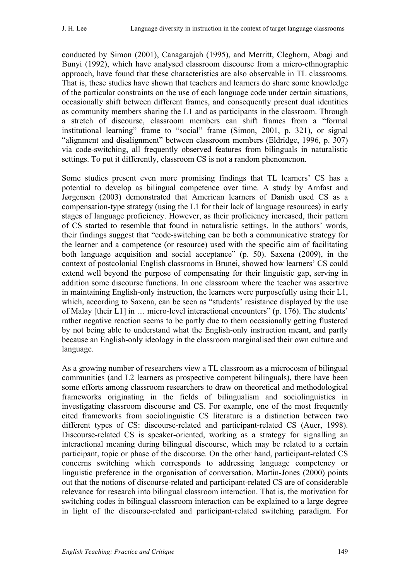conducted by Simon (2001), Canagarajah (1995), and Merritt, Cleghorn, Abagi and Bunyi (1992), which have analysed classroom discourse from a micro-ethnographic approach, have found that these characteristics are also observable in TL classrooms. That is, these studies have shown that teachers and learners do share some knowledge of the particular constraints on the use of each language code under certain situations, occasionally shift between different frames, and consequently present dual identities as community members sharing the L1 and as participants in the classroom. Through a stretch of discourse, classroom members can shift frames from a "formal institutional learning" frame to "social" frame (Simon, 2001, p. 321), or signal "alignment and disalignment" between classroom members (Eldridge, 1996, p. 307) via code-switching, all frequently observed features from bilinguals in naturalistic settings. To put it differently, classroom CS is not a random phenomenon.

Some studies present even more promising findings that TL learners' CS has a potential to develop as bilingual competence over time. A study by Arnfast and Jørgensen (2003) demonstrated that American learners of Danish used CS as a compensation-type strategy (using the L1 for their lack of language resources) in early stages of language proficiency. However, as their proficiency increased, their pattern of CS started to resemble that found in naturalistic settings. In the authors' words, their findings suggest that "code-switching can be both a communicative strategy for the learner and a competence (or resource) used with the specific aim of facilitating both language acquisition and social acceptance" (p. 50). Saxena (2009), in the context of postcolonial English classrooms in Brunei, showed how learners' CS could extend well beyond the purpose of compensating for their linguistic gap, serving in addition some discourse functions. In one classroom where the teacher was assertive in maintaining English-only instruction, the learners were purposefully using their L1, which, according to Saxena, can be seen as "students' resistance displayed by the use of Malay [their L1] in … micro-level interactional encounters" (p. 176). The students' rather negative reaction seems to be partly due to them occasionally getting flustered by not being able to understand what the English-only instruction meant, and partly because an English-only ideology in the classroom marginalised their own culture and language.

As a growing number of researchers view a TL classroom as a microcosm of bilingual communities (and L2 learners as prospective competent bilinguals), there have been some efforts among classroom researchers to draw on theoretical and methodological frameworks originating in the fields of bilingualism and sociolinguistics in investigating classroom discourse and CS. For example, one of the most frequently cited frameworks from sociolinguistic CS literature is a distinction between two different types of CS: discourse-related and participant-related CS (Auer, 1998). Discourse-related CS is speaker-oriented, working as a strategy for signalling an interactional meaning during bilingual discourse, which may be related to a certain participant, topic or phase of the discourse. On the other hand, participant-related CS concerns switching which corresponds to addressing language competency or linguistic preference in the organisation of conversation. Martin-Jones (2000) points out that the notions of discourse-related and participant-related CS are of considerable relevance for research into bilingual classroom interaction. That is, the motivation for switching codes in bilingual classroom interaction can be explained to a large degree in light of the discourse-related and participant-related switching paradigm. For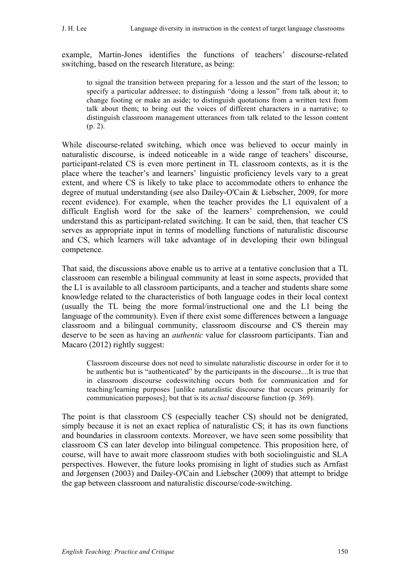example, Martin-Jones identifies the functions of teachers' discourse-related switching, based on the research literature, as being:

to signal the transition between preparing for a lesson and the start of the lesson; to specify a particular addressee; to distinguish "doing a lesson" from talk about it; to change footing or make an aside; to distinguish quotations from a written text from talk about them; to bring out the voices of different characters in a narrative; to distinguish classroom management utterances from talk related to the lesson content (p. 2).

While discourse-related switching, which once was believed to occur mainly in naturalistic discourse, is indeed noticeable in a wide range of teachers' discourse, participant-related CS is even more pertinent in TL classroom contexts, as it is the place where the teacher's and learners' linguistic proficiency levels vary to a great extent, and where CS is likely to take place to accommodate others to enhance the degree of mutual understanding (see also Dailey-O'Cain & Liebscher, 2009, for more recent evidence). For example, when the teacher provides the L1 equivalent of a difficult English word for the sake of the learners' comprehension, we could understand this as participant-related switching. It can be said, then, that teacher CS serves as appropriate input in terms of modelling functions of naturalistic discourse and CS, which learners will take advantage of in developing their own bilingual competence.

That said, the discussions above enable us to arrive at a tentative conclusion that a TL classroom can resemble a bilingual community at least in some aspects, provided that the L1 is available to all classroom participants, and a teacher and students share some knowledge related to the characteristics of both language codes in their local context (usually the TL being the more formal/instructional one and the L1 being the language of the community). Even if there exist some differences between a language classroom and a bilingual community, classroom discourse and CS therein may deserve to be seen as having an *authentic* value for classroom participants. Tian and Macaro (2012) rightly suggest:

Classroom discourse does not need to simulate naturalistic discourse in order for it to be authentic but is "authenticated" by the participants in the discourse....It is true that in classroom discourse codeswitching occurs both for communication and for teaching/learning purposes [unlike naturalistic discourse that occurs primarily for communication purposes]; but that is its *actual* discourse function (p. 369).

The point is that classroom CS (especially teacher CS) should not be denigrated, simply because it is not an exact replica of naturalistic CS; it has its own functions and boundaries in classroom contexts. Moreover, we have seen some possibility that classroom CS can later develop into bilingual competence. This proposition here, of course, will have to await more classroom studies with both sociolinguistic and SLA perspectives. However, the future looks promising in light of studies such as Arnfast and Jørgensen (2003) and Dailey-O'Cain and Liebscher (2009) that attempt to bridge the gap between classroom and naturalistic discourse/code-switching.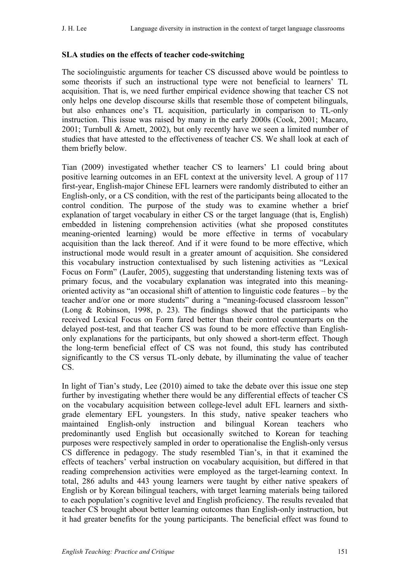## **SLA studies on the effects of teacher code-switching**

The sociolinguistic arguments for teacher CS discussed above would be pointless to some theorists if such an instructional type were not beneficial to learners' TL acquisition. That is, we need further empirical evidence showing that teacher CS not only helps one develop discourse skills that resemble those of competent bilinguals, but also enhances one's TL acquisition, particularly in comparison to TL-only instruction. This issue was raised by many in the early 2000s (Cook, 2001; Macaro, 2001; Turnbull & Arnett, 2002), but only recently have we seen a limited number of studies that have attested to the effectiveness of teacher CS. We shall look at each of them briefly below.

Tian (2009) investigated whether teacher CS to learners' L1 could bring about positive learning outcomes in an EFL context at the university level. A group of 117 first-year, English-major Chinese EFL learners were randomly distributed to either an English-only, or a CS condition, with the rest of the participants being allocated to the control condition. The purpose of the study was to examine whether a brief explanation of target vocabulary in either CS or the target language (that is, English) embedded in listening comprehension activities (what she proposed constitutes meaning-oriented learning) would be more effective in terms of vocabulary acquisition than the lack thereof. And if it were found to be more effective, which instructional mode would result in a greater amount of acquisition. She considered this vocabulary instruction contextualised by such listening activities as "Lexical Focus on Form" (Laufer, 2005), suggesting that understanding listening texts was of primary focus, and the vocabulary explanation was integrated into this meaningoriented activity as "an occasional shift of attention to linguistic code features – by the teacher and/or one or more students" during a "meaning-focused classroom lesson" (Long & Robinson, 1998, p. 23). The findings showed that the participants who received Lexical Focus on Form fared better than their control counterparts on the delayed post-test, and that teacher CS was found to be more effective than Englishonly explanations for the participants, but only showed a short-term effect. Though the long-term beneficial effect of CS was not found, this study has contributed significantly to the CS versus TL-only debate, by illuminating the value of teacher CS.

In light of Tian's study, Lee (2010) aimed to take the debate over this issue one step further by investigating whether there would be any differential effects of teacher CS on the vocabulary acquisition between college-level adult EFL learners and sixthgrade elementary EFL youngsters. In this study, native speaker teachers who maintained English-only instruction and bilingual Korean teachers who predominantly used English but occasionally switched to Korean for teaching purposes were respectively sampled in order to operationalise the English-only versus CS difference in pedagogy. The study resembled Tian's, in that it examined the effects of teachers' verbal instruction on vocabulary acquisition, but differed in that reading comprehension activities were employed as the target-learning context. In total, 286 adults and 443 young learners were taught by either native speakers of English or by Korean bilingual teachers, with target learning materials being tailored to each population's cognitive level and English proficiency. The results revealed that teacher CS brought about better learning outcomes than English-only instruction, but it had greater benefits for the young participants. The beneficial effect was found to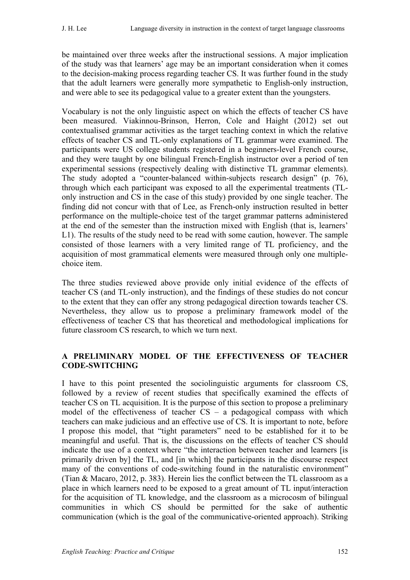be maintained over three weeks after the instructional sessions. A major implication of the study was that learners' age may be an important consideration when it comes to the decision-making process regarding teacher CS. It was further found in the study that the adult learners were generally more sympathetic to English-only instruction, and were able to see its pedagogical value to a greater extent than the youngsters.

Vocabulary is not the only linguistic aspect on which the effects of teacher CS have been measured. Viakinnou-Brinson, Herron, Cole and Haight (2012) set out contextualised grammar activities as the target teaching context in which the relative effects of teacher CS and TL-only explanations of TL grammar were examined. The participants were US college students registered in a beginners-level French course, and they were taught by one bilingual French-English instructor over a period of ten experimental sessions (respectively dealing with distinctive TL grammar elements). The study adopted a "counter-balanced within-subjects research design" (p. 76), through which each participant was exposed to all the experimental treatments (TLonly instruction and CS in the case of this study) provided by one single teacher. The finding did not concur with that of Lee, as French-only instruction resulted in better performance on the multiple-choice test of the target grammar patterns administered at the end of the semester than the instruction mixed with English (that is, learners' L1). The results of the study need to be read with some caution, however. The sample consisted of those learners with a very limited range of TL proficiency, and the acquisition of most grammatical elements were measured through only one multiplechoice item.

The three studies reviewed above provide only initial evidence of the effects of teacher CS (and TL-only instruction), and the findings of these studies do not concur to the extent that they can offer any strong pedagogical direction towards teacher CS. Nevertheless, they allow us to propose a preliminary framework model of the effectiveness of teacher CS that has theoretical and methodological implications for future classroom CS research, to which we turn next.

## **A PRELIMINARY MODEL OF THE EFFECTIVENESS OF TEACHER CODE-SWITCHING**

I have to this point presented the sociolinguistic arguments for classroom CS, followed by a review of recent studies that specifically examined the effects of teacher CS on TL acquisition. It is the purpose of this section to propose a preliminary model of the effectiveness of teacher CS – a pedagogical compass with which teachers can make judicious and an effective use of CS. It is important to note, before I propose this model, that "tight parameters" need to be established for it to be meaningful and useful. That is, the discussions on the effects of teacher CS should indicate the use of a context where "the interaction between teacher and learners [is] primarily driven by] the TL, and [in which] the participants in the discourse respect many of the conventions of code-switching found in the naturalistic environment" (Tian & Macaro, 2012, p. 383). Herein lies the conflict between the TL classroom as a place in which learners need to be exposed to a great amount of TL input/interaction for the acquisition of TL knowledge, and the classroom as a microcosm of bilingual communities in which CS should be permitted for the sake of authentic communication (which is the goal of the communicative-oriented approach). Striking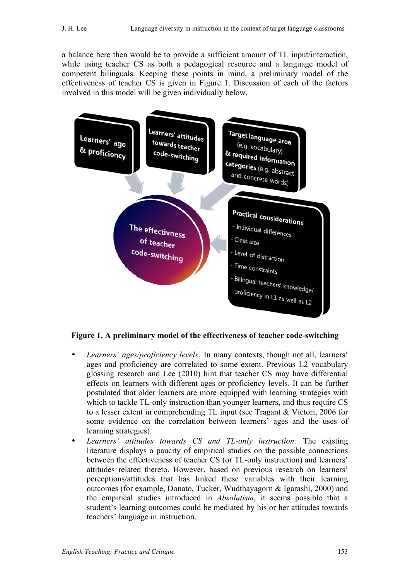a balance here then would be to provide a sufficient amount of TL input/interaction, while using teacher CS as both a pedagogical resource and a language model of competent bilinguals. Keeping these points in mind, a preliminary model of the effectiveness of teacher CS is given in Figure 1. Discussion of each of the factors involved in this model will be given individually below.



# **Figure 1. A preliminary model of the effectiveness of teacher code-switching**

- *Learners' ages/proficiency levels:* In many contexts, though not all, learners' ages and proficiency are correlated to some extent. Previous L2 vocabulary glossing research and Lee (2010) hint that teacher CS may have differential effects on learners with different ages or proficiency levels. It can be further postulated that older learners are more equipped with learning strategies with which to tackle TL-only instruction than younger learners, and thus require CS to a lesser extent in comprehending TL input (see Tragant & Victori, 2006 for some evidence on the correlation between learners' ages and the uses of learning strategies).
- *Learners' attitudes towards CS and TL-only instruction:* The existing literature displays a paucity of empirical studies on the possible connections between the effectiveness of teacher CS (or TL-only instruction) and learners' attitudes related thereto. However, based on previous research on learners' perceptions/attitudes that has linked these variables with their learning outcomes (for example, Donato, Tucker, Wudthayagorn & Igarashi, 2000) and the empirical studies introduced in *Absolutism*, it seems possible that a student's learning outcomes could be mediated by his or her attitudes towards teachers' language in instruction.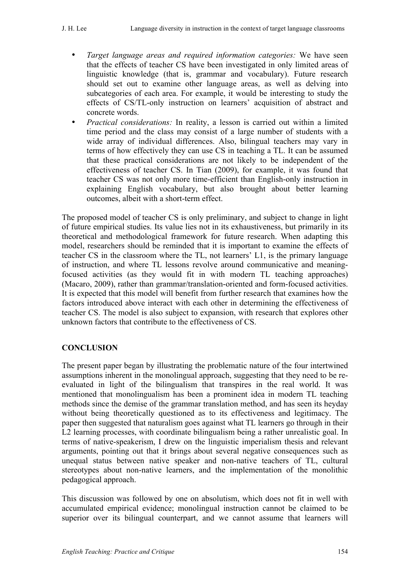- *Target language areas and required information categories:* We have seen that the effects of teacher CS have been investigated in only limited areas of linguistic knowledge (that is, grammar and vocabulary). Future research should set out to examine other language areas, as well as delving into subcategories of each area. For example, it would be interesting to study the effects of CS/TL-only instruction on learners' acquisition of abstract and concrete words.
- *Practical considerations:* In reality, a lesson is carried out within a limited time period and the class may consist of a large number of students with a wide array of individual differences. Also, bilingual teachers may vary in terms of how effectively they can use CS in teaching a TL. It can be assumed that these practical considerations are not likely to be independent of the effectiveness of teacher CS. In Tian (2009), for example, it was found that teacher CS was not only more time-efficient than English-only instruction in explaining English vocabulary, but also brought about better learning outcomes, albeit with a short-term effect.

The proposed model of teacher CS is only preliminary, and subject to change in light of future empirical studies. Its value lies not in its exhaustiveness, but primarily in its theoretical and methodological framework for future research. When adapting this model, researchers should be reminded that it is important to examine the effects of teacher CS in the classroom where the TL, not learners' L1, is the primary language of instruction, and where TL lessons revolve around communicative and meaningfocused activities (as they would fit in with modern TL teaching approaches) (Macaro, 2009), rather than grammar/translation-oriented and form-focused activities. It is expected that this model will benefit from further research that examines how the factors introduced above interact with each other in determining the effectiveness of teacher CS. The model is also subject to expansion, with research that explores other unknown factors that contribute to the effectiveness of CS.

## **CONCLUSION**

The present paper began by illustrating the problematic nature of the four intertwined assumptions inherent in the monolingual approach, suggesting that they need to be reevaluated in light of the bilingualism that transpires in the real world. It was mentioned that monolingualism has been a prominent idea in modern TL teaching methods since the demise of the grammar translation method, and has seen its heyday without being theoretically questioned as to its effectiveness and legitimacy. The paper then suggested that naturalism goes against what TL learners go through in their L2 learning processes, with coordinate bilingualism being a rather unrealistic goal. In terms of native-speakerism, I drew on the linguistic imperialism thesis and relevant arguments, pointing out that it brings about several negative consequences such as unequal status between native speaker and non-native teachers of TL, cultural stereotypes about non-native learners, and the implementation of the monolithic pedagogical approach.

This discussion was followed by one on absolutism, which does not fit in well with accumulated empirical evidence; monolingual instruction cannot be claimed to be superior over its bilingual counterpart, and we cannot assume that learners will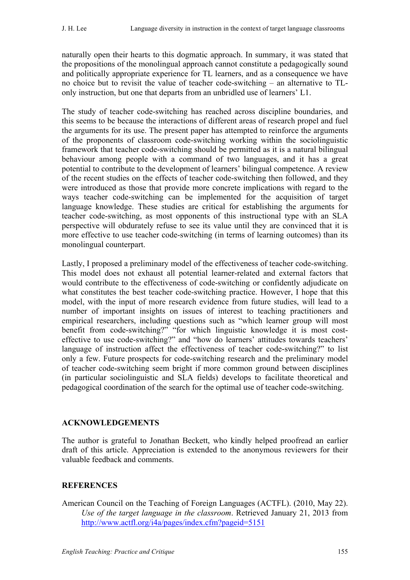naturally open their hearts to this dogmatic approach. In summary, it was stated that the propositions of the monolingual approach cannot constitute a pedagogically sound and politically appropriate experience for TL learners, and as a consequence we have no choice but to revisit the value of teacher code-switching – an alternative to TLonly instruction, but one that departs from an unbridled use of learners' L1.

The study of teacher code-switching has reached across discipline boundaries, and this seems to be because the interactions of different areas of research propel and fuel the arguments for its use. The present paper has attempted to reinforce the arguments of the proponents of classroom code-switching working within the sociolinguistic framework that teacher code-switching should be permitted as it is a natural bilingual behaviour among people with a command of two languages, and it has a great potential to contribute to the development of learners' bilingual competence. A review of the recent studies on the effects of teacher code-switching then followed, and they were introduced as those that provide more concrete implications with regard to the ways teacher code-switching can be implemented for the acquisition of target language knowledge. These studies are critical for establishing the arguments for teacher code-switching, as most opponents of this instructional type with an SLA perspective will obdurately refuse to see its value until they are convinced that it is more effective to use teacher code-switching (in terms of learning outcomes) than its monolingual counterpart.

Lastly, I proposed a preliminary model of the effectiveness of teacher code-switching. This model does not exhaust all potential learner-related and external factors that would contribute to the effectiveness of code-switching or confidently adjudicate on what constitutes the best teacher code-switching practice. However, I hope that this model, with the input of more research evidence from future studies, will lead to a number of important insights on issues of interest to teaching practitioners and empirical researchers, including questions such as "which learner group will most benefit from code-switching?" "for which linguistic knowledge it is most costeffective to use code-switching?" and "how do learners' attitudes towards teachers' language of instruction affect the effectiveness of teacher code-switching?" to list only a few. Future prospects for code-switching research and the preliminary model of teacher code-switching seem bright if more common ground between disciplines (in particular sociolinguistic and SLA fields) develops to facilitate theoretical and pedagogical coordination of the search for the optimal use of teacher code-switching.

#### **ACKNOWLEDGEMENTS**

The author is grateful to Jonathan Beckett, who kindly helped proofread an earlier draft of this article. Appreciation is extended to the anonymous reviewers for their valuable feedback and comments.

## **REFERENCES**

American Council on the Teaching of Foreign Languages (ACTFL). (2010, May 22). *Use of the target language in the classroom*. Retrieved January 21, 2013 from http://www.actfl.org/i4a/pages/index.cfm?pageid=5151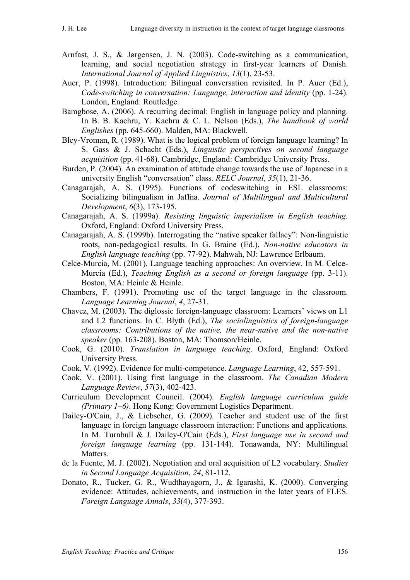- Arnfast, J. S., & Jørgensen, J. N. (2003). Code-switching as a communication, learning, and social negotiation strategy in first-year learners of Danish. *International Journal of Applied Linguistics*, *13*(1), 23-53.
- Auer, P. (1998). Introduction: Bilingual conversation revisited. In P. Auer (Ed.), *Code-switching in conversation: Language, interaction and identity (pp. 1-24).* London, England: Routledge.
- Bamgbose, A. (2006). A recurring decimal: English in language policy and planning. In B. B. Kachru, Y. Kachru & C. L. Nelson (Eds.), *The handbook of world Englishes* (pp. 645-660). Malden, MA: Blackwell.
- Bley-Vroman, R. (1989). What is the logical problem of foreign language learning? In S. Gass & J. Schacht (Eds.), *Linguistic perspectives on second language acquisition* (pp. 41-68). Cambridge, England: Cambridge University Press.
- Burden, P. (2004). An examination of attitude change towards the use of Japanese in a university English "conversation" class. *RELC Journal*, *35*(1), 21-36.
- Canagarajah, A. S. (1995). Functions of codeswitching in ESL classrooms: Socializing bilingualism in Jaffna. *Journal of Multilingual and Multicultural Development*, *6*(3), 173-195.
- Canagarajah, A. S. (1999a). *Resisting linguistic imperialism in English teaching.*  Oxford, England: Oxford University Press.
- Canagarajah, A. S. (1999b). Interrogating the "native speaker fallacy": Non-linguistic roots, non-pedagogical results. In G. Braine (Ed.), *Non-native educators in English language teaching* (pp. 77-92). Mahwah, NJ: Lawrence Erlbaum.
- Celce-Murcia, M. (2001). Language teaching approaches: An overview. In M. Celce-Murcia (Ed.), *Teaching English as a second or foreign language* (pp. 3-11). Boston, MA: Heinle & Heinle.
- Chambers, F. (1991). Promoting use of the target language in the classroom. *Language Learning Journal*, *4*, 27-31.
- Chavez, M. (2003). The diglossic foreign-language classroom: Learners' views on L1 and L2 functions. In C. Blyth (Ed.), *The sociolinguistics of foreign-language classrooms: Contributions of the native, the near-native and the non-native speaker* (pp. 163-208). Boston, MA: Thomson/Heinle.
- Cook, G. (2010). *Translation in language teaching*. Oxford, England: Oxford University Press.
- Cook, V. (1992). Evidence for multi-competence. *Language Learning*, 42, 557-591.
- Cook, V. (2001). Using first language in the classroom. *The Canadian Modern Language Review*, *57*(3), 402-423.
- Curriculum Development Council. (2004). *English language curriculum guide (Primary 1–6)*. Hong Kong: Government Logistics Department.
- Dailey-O'Cain, J., & Liebscher, G. (2009). Teacher and student use of the first language in foreign language classroom interaction: Functions and applications. In M. Turnbull & J. Dailey-O'Cain (Eds.), *First language use in second and foreign language learning* (pp. 131-144). Tonawanda, NY: Multilingual Matters.
- de la Fuente, M. J. (2002). Negotiation and oral acquisition of L2 vocabulary. *Studies in Second Language Acquisition*, *24*, 81-112.
- Donato, R., Tucker, G. R., Wudthayagorn, J., & Igarashi, K. (2000). Converging evidence: Attitudes, achievements, and instruction in the later years of FLES. *Foreign Language Annals*, *33*(4), 377-393.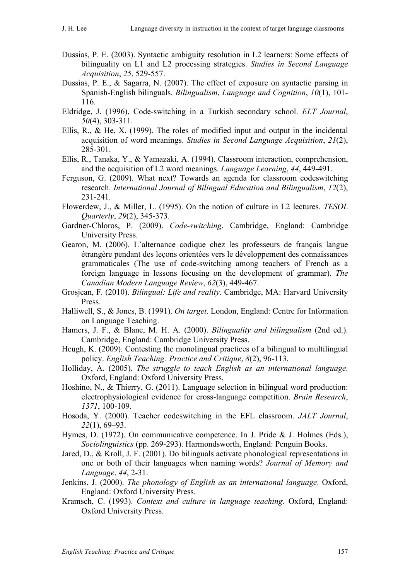- Dussias, P. E. (2003). Syntactic ambiguity resolution in L2 learners: Some effects of bilinguality on L1 and L2 processing strategies. *Studies in Second Language Acquisition*, *25*, 529-557.
- Dussias, P. E., & Sagarra, N. (2007). The effect of exposure on syntactic parsing in Spanish-English bilinguals. *Bilingualism*, *Language and Cognition*, *10*(1), 101- 116.
- Eldridge, J. (1996). Code-switching in a Turkish secondary school. *ELT Journal*, *50*(4), 303-311.
- Ellis, R., & He, X. (1999). The roles of modified input and output in the incidental acquisition of word meanings. *Studies in Second Language Acquisition*, *21*(2), 285-301.
- Ellis, R., Tanaka, Y., & Yamazaki, A. (1994). Classroom interaction, comprehension, and the acquisition of L2 word meanings. *Language Learning*, *44*, 449-491.
- Ferguson, G. (2009). What next? Towards an agenda for classroom codeswitching research. *International Journal of Bilingual Education and Bilingualism*, *12*(2), 231-241.
- Flowerdew, J., & Miller, L. (1995). On the notion of culture in L2 lectures. *TESOL Quarterly*, *29*(2), 345-373.
- Gardner-Chloros, P. (2009). *Code-switching*. Cambridge, England: Cambridge University Press.
- Gearon, M. (2006). L'alternance codique chez les professeurs de français langue étrangère pendant des leçons orientées vers le développement des connaissances grammaticales (The use of code-switching among teachers of French as a foreign language in lessons focusing on the development of grammar). *The Canadian Modern Language Review*, *62*(3), 449-467.
- Grosjean, F. (2010). *Bilingual: Life and reality*. Cambridge, MA: Harvard University Press.
- Halliwell, S., & Jones, B. (1991). *On target*. London, England: Centre for Information on Language Teaching.
- Hamers, J. F., & Blanc, M. H. A. (2000). *Bilinguality and bilingualism* (2nd ed.). Cambridge, England: Cambridge University Press.
- Heugh, K. (2009). Contesting the monolingual practices of a bilingual to multilingual policy. *English Teaching: Practice and Critique*, *8*(2), 96-113.
- Holliday, A. (2005). *The struggle to teach English as an international language*. Oxford, England: Oxford University Press.
- Hoshino, N., & Thierry, G. (2011). Language selection in bilingual word production: electrophysiological evidence for cross-language competition. *Brain Research*, *1371*, 100-109.
- Hosoda, Y. (2000). Teacher codeswitching in the EFL classroom. *JALT Journal*, *22*(1), 69–93.
- Hymes, D. (1972). On communicative competence. In J. Pride & J. Holmes (Eds.), *Sociolinguistics* (pp. 269-293). Harmondsworth, England: Penguin Books.
- Jared, D., & Kroll, J. F. (2001). Do bilinguals activate phonological representations in one or both of their languages when naming words? *Journal of Memory and Language*, *44*, 2-31.
- Jenkins, J. (2000). *The phonology of English as an international language*. Oxford, England: Oxford University Press.
- Kramsch, C. (1993). *Context and culture in language teaching*. Oxford, England: Oxford University Press.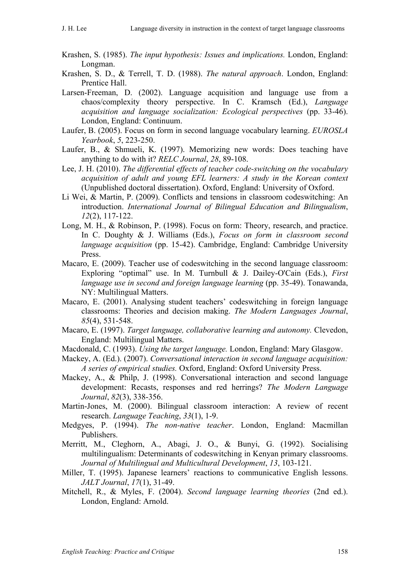- Krashen, S. (1985). *The input hypothesis: Issues and implications.* London, England: Longman.
- Krashen, S. D., & Terrell, T. D. (1988). *The natural approach*. London, England: Prentice Hall.
- Larsen-Freeman, D. (2002). Language acquisition and language use from a chaos/complexity theory perspective. In C. Kramsch (Ed.), *Language acquisition and language socialization: Ecological perspectives* (pp. 33-46). London, England: Continuum.
- Laufer, B. (2005). Focus on form in second language vocabulary learning. *EUROSLA Yearbook*, *5*, 223-250.
- Laufer, B., & Shmueli, K. (1997). Memorizing new words: Does teaching have anything to do with it? *RELC Journal*, *28*, 89-108.
- Lee, J. H. (2010). *The differential effects of teacher code-switching on the vocabulary acquisition of adult and young EFL learners: A study in the Korean context* (Unpublished doctoral dissertation). Oxford, England: University of Oxford.
- Li Wei, & Martin, P. (2009). Conflicts and tensions in classroom codeswitching: An introduction. *International Journal of Bilingual Education and Bilingualism*, *12*(2), 117-122.
- Long, M. H., & Robinson, P. (1998). Focus on form: Theory, research, and practice. In C. Doughty & J. Williams (Eds.), *Focus on form in classroom second language acquisition* (pp. 15-42). Cambridge, England: Cambridge University Press.
- Macaro, E. (2009). Teacher use of codeswitching in the second language classroom: Exploring "optimal" use. In M. Turnbull & J. Dailey-O'Cain (Eds.), *First language use in second and foreign language learning (pp. 35-49). Tonawanda,* NY: Multilingual Matters.
- Macaro, E. (2001). Analysing student teachers' codeswitching in foreign language classrooms: Theories and decision making. *The Modern Languages Journal*, *85*(4), 531-548.
- Macaro, E. (1997). *Target language, collaborative learning and autonomy.* Clevedon, England: Multilingual Matters.
- Macdonald, C. (1993). *Using the target language.* London, England: Mary Glasgow.
- Mackey, A. (Ed.). (2007). *Conversational interaction in second language acquisition: A series of empirical studies.* Oxford, England: Oxford University Press.
- Mackey, A., & Philp, J. (1998). Conversational interaction and second language development: Recasts, responses and red herrings? *The Modern Language Journal*, *82*(3), 338-356.
- Martin-Jones, M. (2000). Bilingual classroom interaction: A review of recent research. *Language Teaching*, *33*(1), 1-9.
- Medgyes, P. (1994). *The non-native teacher*. London, England: Macmillan Publishers.
- Merritt, M., Cleghorn, A., Abagi, J. O., & Bunyi, G. (1992). Socialising multilingualism: Determinants of codeswitching in Kenyan primary classrooms. *Journal of Multilingual and Multicultural Development*, *13*, 103-121.
- Miller, T. (1995). Japanese learners' reactions to communicative English lessons. *JALT Journal*, *17*(1), 31-49.
- Mitchell, R., & Myles, F. (2004). *Second language learning theories* (2nd ed.). London, England: Arnold.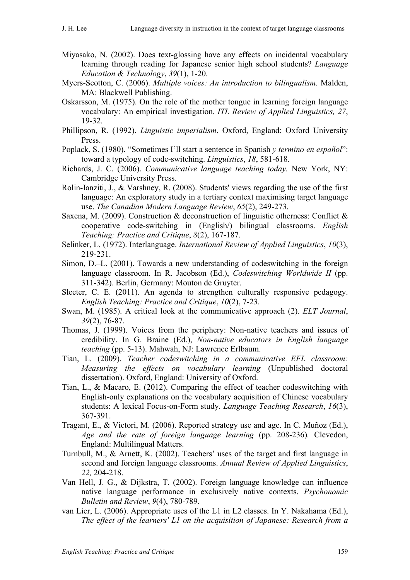- Miyasako, N. (2002). Does text-glossing have any effects on incidental vocabulary learning through reading for Japanese senior high school students? *Language Education & Technology*, *39*(1), 1-20.
- Myers-Scotton, C. (2006). *Multiple voices: An introduction to bilingualism.* Malden, MA: Blackwell Publishing.
- Oskarsson, M. (1975). On the role of the mother tongue in learning foreign language vocabulary: An empirical investigation. *ITL Review of Applied Linguistics, 27*, 19-32.
- Phillipson, R. (1992). *Linguistic imperialism*. Oxford, England: Oxford University Press.
- Poplack, S. (1980). "Sometimes I'll start a sentence in Spanish *y termino en español*": toward a typology of code-switching. *Linguistics*, *18*, 581-618.
- Richards, J. C. (2006). *Communicative language teaching today.* New York, NY: Cambridge University Press.
- Rolin-Ianziti, J., & Varshney, R. (2008). Students' views regarding the use of the first language: An exploratory study in a tertiary context maximising target language use. *The Canadian Modern Language Review*, *65*(2), 249-273.
- Saxena, M. (2009). Construction & deconstruction of linguistic otherness: Conflict & cooperative code-switching in (English/) bilingual classrooms. *English Teaching: Practice and Critique*, *8*(2), 167-187.
- Selinker, L. (1972). Interlanguage. *International Review of Applied Linguistics*, *10*(3), 219-231.
- Simon, D.–L. (2001). Towards a new understanding of codeswitching in the foreign language classroom. In R. Jacobson (Ed.), *Codeswitching Worldwide II* (pp. 311-342). Berlin, Germany: Mouton de Gruyter.
- Sleeter, C. E. (2011). An agenda to strengthen culturally responsive pedagogy. *English Teaching: Practice and Critique*, *10*(2), 7-23.
- Swan, M. (1985). A critical look at the communicative approach (2). *ELT Journal*, *39*(2), 76-87.
- Thomas, J. (1999). Voices from the periphery: Non-native teachers and issues of credibility. In G. Braine (Ed.), *Non-native educators in English language teaching* (pp. 5-13). Mahwah, NJ: Lawrence Erlbaum.
- Tian, L. (2009). *Teacher codeswitching in a communicative EFL classroom: Measuring the effects on vocabulary learning* (Unpublished doctoral dissertation). Oxford, England: University of Oxford.
- Tian, L., & Macaro, E. (2012). Comparing the effect of teacher codeswitching with English-only explanations on the vocabulary acquisition of Chinese vocabulary students: A lexical Focus-on-Form study. *Language Teaching Research*, *16*(3), 367-391.
- Tragant, E., & Victori, M. (2006). Reported strategy use and age. In C. Muñoz (Ed.), *Age and the rate of foreign language learning* (pp. 208-236)*.* Clevedon, England: Multilingual Matters.
- Turnbull, M., & Arnett, K. (2002). Teachers' uses of the target and first language in second and foreign language classrooms. *Annual Review of Applied Linguistics*, *22,* 204-218.
- Van Hell, J. G., & Dijkstra, T. (2002). Foreign language knowledge can influence native language performance in exclusively native contexts. *Psychonomic Bulletin and Review*, *9*(4), 780-789.
- van Lier, L. (2006). Appropriate uses of the L1 in L2 classes. In Y. Nakahama (Ed.), *The effect of the learners' L1 on the acquisition of Japanese: Research from a*